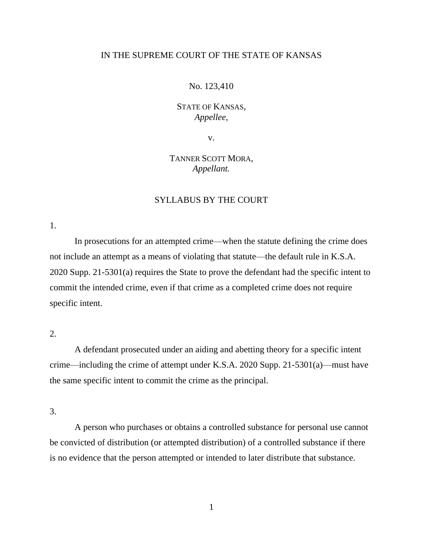## IN THE SUPREME COURT OF THE STATE OF KANSAS

#### No. 123,410

## STATE OF KANSAS, *Appellee,*

v.

# TANNER SCOTT MORA, *Appellant.*

## SYLLABUS BY THE COURT

1.

In prosecutions for an attempted crime—when the statute defining the crime does not include an attempt as a means of violating that statute—the default rule in K.S.A. 2020 Supp. 21-5301(a) requires the State to prove the defendant had the specific intent to commit the intended crime, even if that crime as a completed crime does not require specific intent.

## $2<sub>1</sub>$

A defendant prosecuted under an aiding and abetting theory for a specific intent crime—including the crime of attempt under K.S.A. 2020 Supp. 21-5301(a)—must have the same specific intent to commit the crime as the principal.

3.

A person who purchases or obtains a controlled substance for personal use cannot be convicted of distribution (or attempted distribution) of a controlled substance if there is no evidence that the person attempted or intended to later distribute that substance.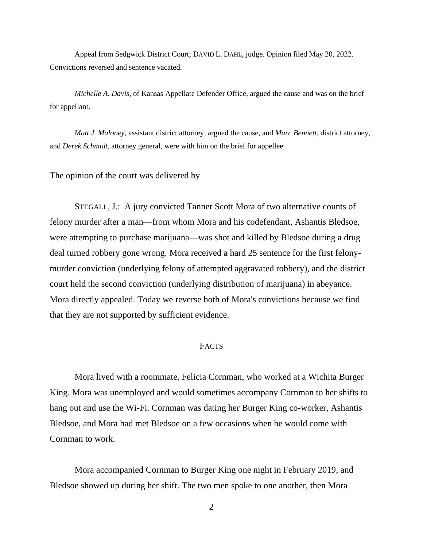Appeal from Sedgwick District Court; DAVID L. DAHL, judge. Opinion filed May 20, 2022. Convictions reversed and sentence vacated.

*Michelle A. Davis*, of Kansas Appellate Defender Office, argued the cause and was on the brief for appellant.

*Matt J. Maloney*, assistant district attorney, argued the cause, and *Marc Bennett*, district attorney, and *Derek Schmidt*, attorney general, were with him on the brief for appellee.

The opinion of the court was delivered by

STEGALL, J.: A jury convicted Tanner Scott Mora of two alternative counts of felony murder after a man—from whom Mora and his codefendant, Ashantis Bledsoe, were attempting to purchase marijuana—was shot and killed by Bledsoe during a drug deal turned robbery gone wrong. Mora received a hard 25 sentence for the first felonymurder conviction (underlying felony of attempted aggravated robbery), and the district court held the second conviction (underlying distribution of marijuana) in abeyance. Mora directly appealed. Today we reverse both of Mora's convictions because we find that they are not supported by sufficient evidence.

## FACTS

Mora lived with a roommate, Felicia Cornman, who worked at a Wichita Burger King. Mora was unemployed and would sometimes accompany Cornman to her shifts to hang out and use the Wi-Fi. Cornman was dating her Burger King co-worker, Ashantis Bledsoe, and Mora had met Bledsoe on a few occasions when he would come with Cornman to work.

Mora accompanied Cornman to Burger King one night in February 2019, and Bledsoe showed up during her shift. The two men spoke to one another, then Mora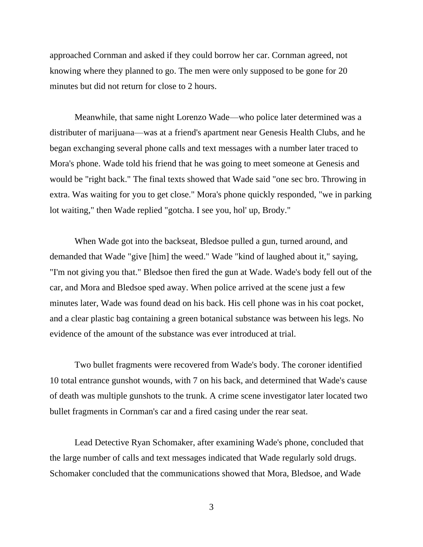approached Cornman and asked if they could borrow her car. Cornman agreed, not knowing where they planned to go. The men were only supposed to be gone for 20 minutes but did not return for close to 2 hours.

Meanwhile, that same night Lorenzo Wade—who police later determined was a distributer of marijuana—was at a friend's apartment near Genesis Health Clubs, and he began exchanging several phone calls and text messages with a number later traced to Mora's phone. Wade told his friend that he was going to meet someone at Genesis and would be "right back." The final texts showed that Wade said "one sec bro. Throwing in extra. Was waiting for you to get close." Mora's phone quickly responded, "we in parking lot waiting," then Wade replied "gotcha. I see you, hol' up, Brody."

When Wade got into the backseat, Bledsoe pulled a gun, turned around, and demanded that Wade "give [him] the weed." Wade "kind of laughed about it," saying, "I'm not giving you that." Bledsoe then fired the gun at Wade. Wade's body fell out of the car, and Mora and Bledsoe sped away. When police arrived at the scene just a few minutes later, Wade was found dead on his back. His cell phone was in his coat pocket, and a clear plastic bag containing a green botanical substance was between his legs. No evidence of the amount of the substance was ever introduced at trial.

Two bullet fragments were recovered from Wade's body. The coroner identified 10 total entrance gunshot wounds, with 7 on his back, and determined that Wade's cause of death was multiple gunshots to the trunk. A crime scene investigator later located two bullet fragments in Cornman's car and a fired casing under the rear seat.

Lead Detective Ryan Schomaker, after examining Wade's phone, concluded that the large number of calls and text messages indicated that Wade regularly sold drugs. Schomaker concluded that the communications showed that Mora, Bledsoe, and Wade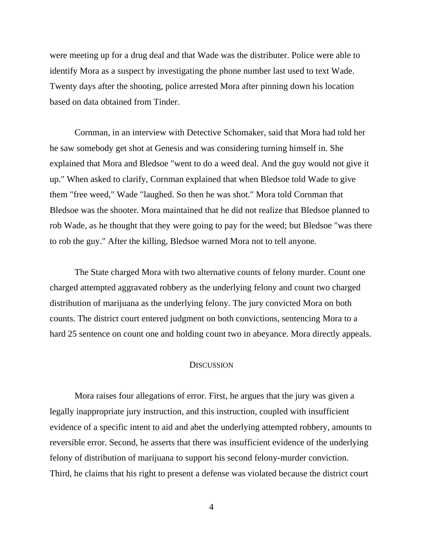were meeting up for a drug deal and that Wade was the distributer. Police were able to identify Mora as a suspect by investigating the phone number last used to text Wade. Twenty days after the shooting, police arrested Mora after pinning down his location based on data obtained from Tinder.

Cornman, in an interview with Detective Schomaker, said that Mora had told her he saw somebody get shot at Genesis and was considering turning himself in. She explained that Mora and Bledsoe "went to do a weed deal. And the guy would not give it up." When asked to clarify, Cornman explained that when Bledsoe told Wade to give them "free weed," Wade "laughed. So then he was shot." Mora told Cornman that Bledsoe was the shooter. Mora maintained that he did not realize that Bledsoe planned to rob Wade, as he thought that they were going to pay for the weed; but Bledsoe "was there to rob the guy." After the killing, Bledsoe warned Mora not to tell anyone.

The State charged Mora with two alternative counts of felony murder. Count one charged attempted aggravated robbery as the underlying felony and count two charged distribution of marijuana as the underlying felony. The jury convicted Mora on both counts. The district court entered judgment on both convictions, sentencing Mora to a hard 25 sentence on count one and holding count two in abeyance. Mora directly appeals.

#### **DISCUSSION**

Mora raises four allegations of error. First, he argues that the jury was given a legally inappropriate jury instruction, and this instruction, coupled with insufficient evidence of a specific intent to aid and abet the underlying attempted robbery, amounts to reversible error. Second, he asserts that there was insufficient evidence of the underlying felony of distribution of marijuana to support his second felony-murder conviction. Third, he claims that his right to present a defense was violated because the district court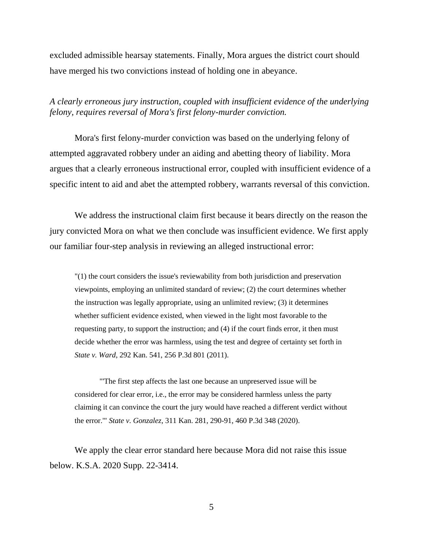excluded admissible hearsay statements. Finally, Mora argues the district court should have merged his two convictions instead of holding one in abeyance.

## *A clearly erroneous jury instruction, coupled with insufficient evidence of the underlying felony, requires reversal of Mora's first felony-murder conviction.*

Mora's first felony-murder conviction was based on the underlying felony of attempted aggravated robbery under an aiding and abetting theory of liability. Mora argues that a clearly erroneous instructional error, coupled with insufficient evidence of a specific intent to aid and abet the attempted robbery, warrants reversal of this conviction.

We address the instructional claim first because it bears directly on the reason the jury convicted Mora on what we then conclude was insufficient evidence. We first apply our familiar four-step analysis in reviewing an alleged instructional error:

"(1) the court considers the issue's reviewability from both jurisdiction and preservation viewpoints, employing an unlimited standard of review; (2) the court determines whether the instruction was legally appropriate, using an unlimited review; (3) it determines whether sufficient evidence existed, when viewed in the light most favorable to the requesting party, to support the instruction; and (4) if the court finds error, it then must decide whether the error was harmless, using the test and degree of certainty set forth in *State v. Ward*, 292 Kan. 541, 256 P.3d 801 (2011).

"'The first step affects the last one because an unpreserved issue will be considered for clear error, i.e., the error may be considered harmless unless the party claiming it can convince the court the jury would have reached a different verdict without the error.'" *State v. Gonzalez*, 311 Kan. 281, 290-91, 460 P.3d 348 (2020).

We apply the clear error standard here because Mora did not raise this issue below. K.S.A. 2020 Supp. 22-3414.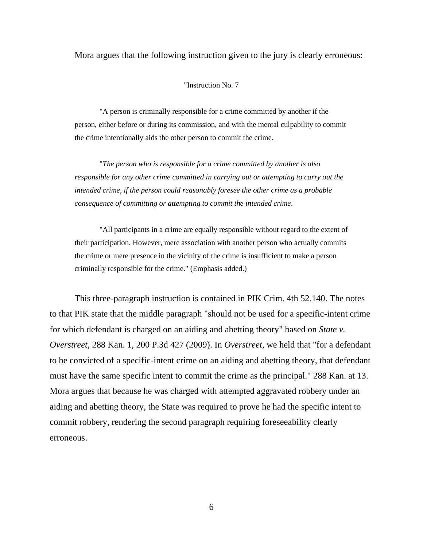Mora argues that the following instruction given to the jury is clearly erroneous:

#### "Instruction No. 7

"A person is criminally responsible for a crime committed by another if the person, either before or during its commission, and with the mental culpability to commit the crime intentionally aids the other person to commit the crime.

"*The person who is responsible for a crime committed by another is also responsible for any other crime committed in carrying out or attempting to carry out the intended crime, if the person could reasonably foresee the other crime as a probable consequence of committing or attempting to commit the intended crime*.

"All participants in a crime are equally responsible without regard to the extent of their participation. However, mere association with another person who actually commits the crime or mere presence in the vicinity of the crime is insufficient to make a person criminally responsible for the crime." (Emphasis added.)

This three-paragraph instruction is contained in PIK Crim. 4th 52.140. The notes to that PIK state that the middle paragraph "should not be used for a specific-intent crime for which defendant is charged on an aiding and abetting theory" based on *State v. Overstreet*, 288 Kan. 1, 200 P.3d 427 (2009). In *Overstreet*, we held that "for a defendant to be convicted of a specific-intent crime on an aiding and abetting theory, that defendant must have the same specific intent to commit the crime as the principal." 288 Kan. at 13. Mora argues that because he was charged with attempted aggravated robbery under an aiding and abetting theory, the State was required to prove he had the specific intent to commit robbery, rendering the second paragraph requiring foreseeability clearly erroneous.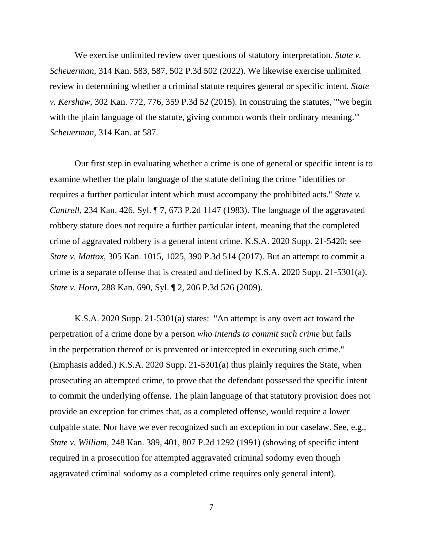We exercise unlimited review over questions of statutory interpretation. *State v. Scheuerman*, 314 Kan. 583, 587, 502 P.3d 502 (2022). We likewise exercise unlimited review in determining whether a criminal statute requires general or specific intent. *State v. Kershaw*, 302 Kan. 772, 776, 359 P.3d 52 (2015). In construing the statutes, "'we begin with the plain language of the statute, giving common words their ordinary meaning." *Scheuerman*, 314 Kan. at 587.

Our first step in evaluating whether a crime is one of general or specific intent is to examine whether the plain language of the statute defining the crime "identifies or requires a further particular intent which must accompany the prohibited acts." *State v. Cantrell*, 234 Kan. 426, Syl. ¶ 7, 673 P.2d 1147 (1983). The language of the aggravated robbery statute does not require a further particular intent, meaning that the completed crime of aggravated robbery is a general intent crime. K.S.A. 2020 Supp. 21-5420; see *State v. Mattox*, 305 Kan. 1015, 1025, 390 P.3d 514 (2017). But an attempt to commit a crime is a separate offense that is created and defined by K.S.A. 2020 Supp. 21-5301(a). *State v. Horn*, 288 Kan. 690, Syl. ¶ 2, 206 P.3d 526 (2009).

K.S.A. 2020 Supp. 21-5301(a) states: "An attempt is any overt act toward the perpetration of a crime done by a person *who intends to commit such crime* but fails in the perpetration thereof or is prevented or intercepted in executing such crime." (Emphasis added.) K.S.A. 2020 Supp. 21-5301(a) thus plainly requires the State, when prosecuting an attempted crime, to prove that the defendant possessed the specific intent to commit the underlying offense. The plain language of that statutory provision does not provide an exception for crimes that, as a completed offense, would require a lower culpable state. Nor have we ever recognized such an exception in our caselaw. See, e.g., *State v. William*, 248 Kan. 389, 401, 807 P.2d 1292 (1991) (showing of specific intent required in a prosecution for attempted aggravated criminal sodomy even though aggravated criminal sodomy as a completed crime requires only general intent).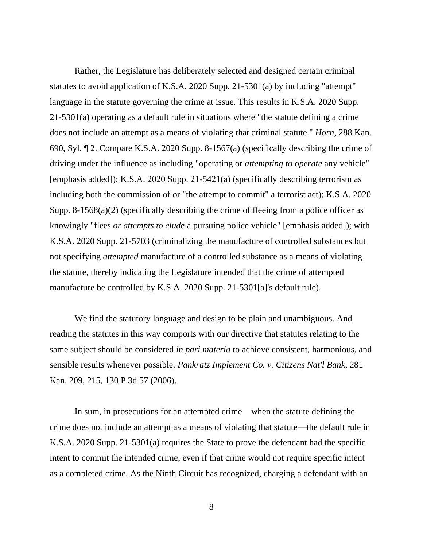Rather, the Legislature has deliberately selected and designed certain criminal statutes to avoid application of K.S.A. 2020 Supp. 21-5301(a) by including "attempt" language in the statute governing the crime at issue. This results in K.S.A. 2020 Supp. 21-5301(a) operating as a default rule in situations where "the statute defining a crime does not include an attempt as a means of violating that criminal statute." *Horn*, 288 Kan. 690, Syl. ¶ 2. Compare K.S.A. 2020 Supp. 8-1567(a) (specifically describing the crime of driving under the influence as including "operating or *attempting to operate* any vehicle" [emphasis added]); K.S.A. 2020 Supp. 21-5421(a) (specifically describing terrorism as including both the commission of or "the attempt to commit" a terrorist act); K.S.A. 2020 Supp. 8-1568(a)(2) (specifically describing the crime of fleeing from a police officer as knowingly "flees *or attempts to elude* a pursuing police vehicle" [emphasis added]); with K.S.A. 2020 Supp. 21-5703 (criminalizing the manufacture of controlled substances but not specifying *attempted* manufacture of a controlled substance as a means of violating the statute, thereby indicating the Legislature intended that the crime of attempted manufacture be controlled by K.S.A. 2020 Supp. 21-5301[a]'s default rule).

We find the statutory language and design to be plain and unambiguous. And reading the statutes in this way comports with our directive that statutes relating to the same subject should be considered *in pari materia* to achieve consistent, harmonious, and sensible results whenever possible. *Pankratz Implement Co. v. Citizens Nat'l Bank*, 281 Kan. 209, 215, 130 P.3d 57 (2006).

In sum, in prosecutions for an attempted crime—when the statute defining the crime does not include an attempt as a means of violating that statute—the default rule in K.S.A. 2020 Supp. 21-5301(a) requires the State to prove the defendant had the specific intent to commit the intended crime, even if that crime would not require specific intent as a completed crime. As the Ninth Circuit has recognized, charging a defendant with an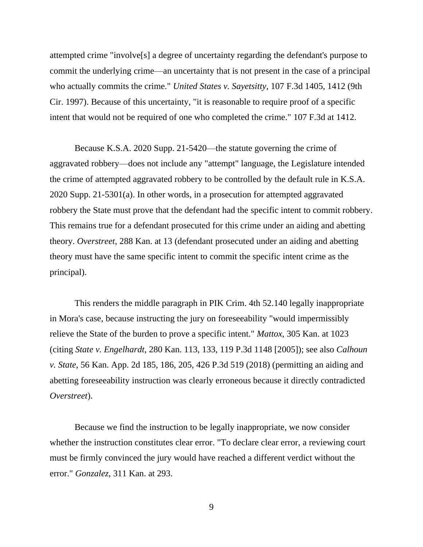attempted crime "involve[s] a degree of uncertainty regarding the defendant's purpose to commit the underlying crime—an uncertainty that is not present in the case of a principal who actually commits the crime." *United States v. Sayetsitty*, 107 F.3d 1405, 1412 (9th Cir. 1997). Because of this uncertainty, "it is reasonable to require proof of a specific intent that would not be required of one who completed the crime." 107 F.3d at 1412.

Because K.S.A. 2020 Supp. 21-5420—the statute governing the crime of aggravated robbery—does not include any "attempt" language, the Legislature intended the crime of attempted aggravated robbery to be controlled by the default rule in K.S.A. 2020 Supp. 21-5301(a). In other words, in a prosecution for attempted aggravated robbery the State must prove that the defendant had the specific intent to commit robbery. This remains true for a defendant prosecuted for this crime under an aiding and abetting theory. *Overstreet*, 288 Kan. at 13 (defendant prosecuted under an aiding and abetting theory must have the same specific intent to commit the specific intent crime as the principal).

This renders the middle paragraph in PIK Crim. 4th 52.140 legally inappropriate in Mora's case, because instructing the jury on foreseeability "would impermissibly relieve the State of the burden to prove a specific intent." *Mattox*, 305 Kan. at 1023 (citing *State v. Engelhardt*, 280 Kan. 113, 133, 119 P.3d 1148 [2005]); see also *Calhoun v. State*, 56 Kan. App. 2d 185, 186, 205, 426 P.3d 519 (2018) (permitting an aiding and abetting foreseeability instruction was clearly erroneous because it directly contradicted *Overstreet*).

Because we find the instruction to be legally inappropriate, we now consider whether the instruction constitutes clear error. "To declare clear error, a reviewing court must be firmly convinced the jury would have reached a different verdict without the error." *Gonzalez*, 311 Kan. at 293.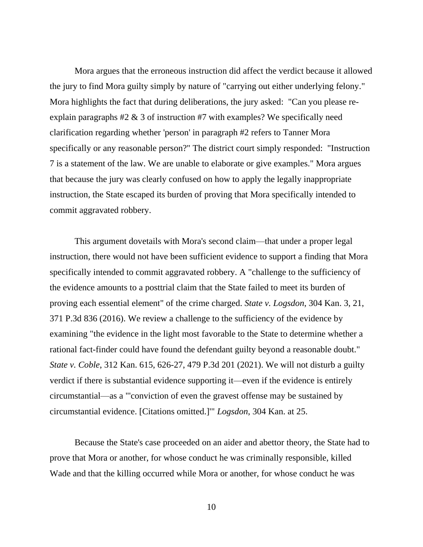Mora argues that the erroneous instruction did affect the verdict because it allowed the jury to find Mora guilty simply by nature of "carrying out either underlying felony." Mora highlights the fact that during deliberations, the jury asked: "Can you please reexplain paragraphs  $#2 \& 3$  of instruction  $#7$  with examples? We specifically need clarification regarding whether 'person' in paragraph #2 refers to Tanner Mora specifically or any reasonable person?" The district court simply responded: "Instruction 7 is a statement of the law. We are unable to elaborate or give examples." Mora argues that because the jury was clearly confused on how to apply the legally inappropriate instruction, the State escaped its burden of proving that Mora specifically intended to commit aggravated robbery.

This argument dovetails with Mora's second claim—that under a proper legal instruction, there would not have been sufficient evidence to support a finding that Mora specifically intended to commit aggravated robbery. A "challenge to the sufficiency of the evidence amounts to a posttrial claim that the State failed to meet its burden of proving each essential element" of the crime charged. *State v. Logsdon*, 304 Kan. 3, 21, 371 P.3d 836 (2016). We review a challenge to the sufficiency of the evidence by examining "the evidence in the light most favorable to the State to determine whether a rational fact-finder could have found the defendant guilty beyond a reasonable doubt." *State v. Coble*, 312 Kan. 615, 626-27, 479 P.3d 201 (2021). We will not disturb a guilty verdict if there is substantial evidence supporting it—even if the evidence is entirely circumstantial—as a "'conviction of even the gravest offense may be sustained by circumstantial evidence. [Citations omitted.]'" *Logsdon*, 304 Kan. at 25.

Because the State's case proceeded on an aider and abettor theory, the State had to prove that Mora or another, for whose conduct he was criminally responsible, killed Wade and that the killing occurred while Mora or another, for whose conduct he was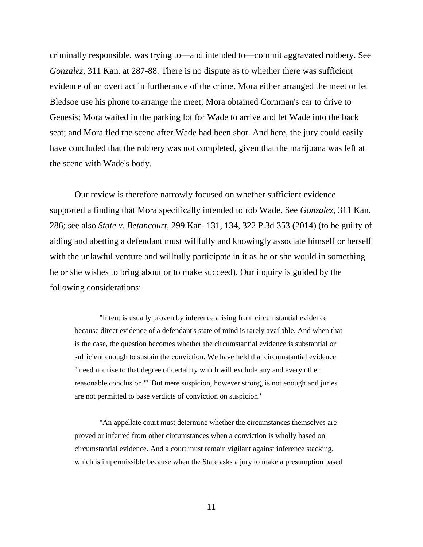criminally responsible, was trying to—and intended to—commit aggravated robbery. See *Gonzalez*, 311 Kan. at 287-88. There is no dispute as to whether there was sufficient evidence of an overt act in furtherance of the crime. Mora either arranged the meet or let Bledsoe use his phone to arrange the meet; Mora obtained Cornman's car to drive to Genesis; Mora waited in the parking lot for Wade to arrive and let Wade into the back seat; and Mora fled the scene after Wade had been shot. And here, the jury could easily have concluded that the robbery was not completed, given that the marijuana was left at the scene with Wade's body.

Our review is therefore narrowly focused on whether sufficient evidence supported a finding that Mora specifically intended to rob Wade. See *Gonzalez*, 311 Kan. 286; see also *State v. Betancourt*, 299 Kan. 131, 134, 322 P.3d 353 (2014) (to be guilty of aiding and abetting a defendant must willfully and knowingly associate himself or herself with the unlawful venture and willfully participate in it as he or she would in something he or she wishes to bring about or to make succeed). Our inquiry is guided by the following considerations:

"Intent is usually proven by inference arising from circumstantial evidence because direct evidence of a defendant's state of mind is rarely available. And when that is the case, the question becomes whether the circumstantial evidence is substantial or sufficient enough to sustain the conviction. We have held that circumstantial evidence '"need not rise to that degree of certainty which will exclude any and every other reasonable conclusion."' 'But mere suspicion, however strong, is not enough and juries are not permitted to base verdicts of conviction on suspicion.'

"An appellate court must determine whether the circumstances themselves are proved or inferred from other circumstances when a conviction is wholly based on circumstantial evidence. And a court must remain vigilant against inference stacking, which is impermissible because when the State asks a jury to make a presumption based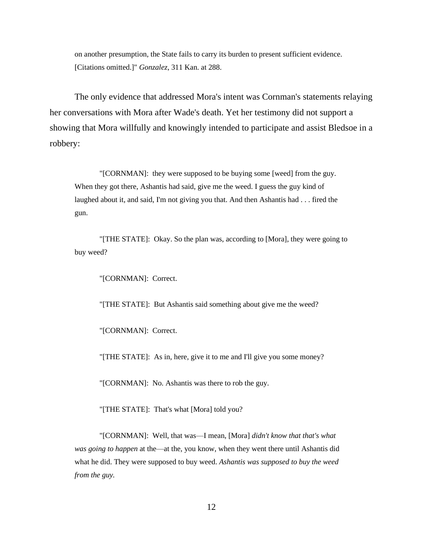on another presumption, the State fails to carry its burden to present sufficient evidence. [Citations omitted.]" *Gonzalez*, 311 Kan. at 288.

The only evidence that addressed Mora's intent was Cornman's statements relaying her conversations with Mora after Wade's death. Yet her testimony did not support a showing that Mora willfully and knowingly intended to participate and assist Bledsoe in a robbery:

"[CORNMAN]: they were supposed to be buying some [weed] from the guy. When they got there, Ashantis had said, give me the weed. I guess the guy kind of laughed about it, and said, I'm not giving you that. And then Ashantis had . . . fired the gun.

"[THE STATE]: Okay. So the plan was, according to [Mora], they were going to buy weed?

"[CORNMAN]: Correct.

"[THE STATE]: But Ashantis said something about give me the weed?

"[CORNMAN]: Correct.

"[THE STATE]: As in, here, give it to me and I'll give you some money?

"[CORNMAN]: No. Ashantis was there to rob the guy.

"[THE STATE]: That's what [Mora] told you?

"[CORNMAN]: Well, that was—I mean, [Mora] *didn't know that that's what was going to happen* at the—at the, you know, when they went there until Ashantis did what he did. They were supposed to buy weed. *Ashantis was supposed to buy the weed from the guy.*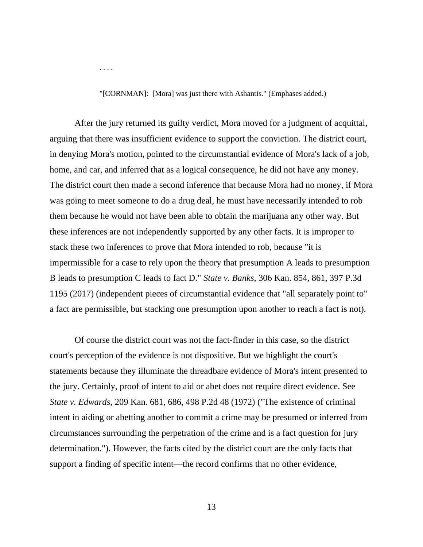. . . .

"[CORNMAN]: [Mora] was just there with Ashantis." (Emphases added.)

After the jury returned its guilty verdict, Mora moved for a judgment of acquittal, arguing that there was insufficient evidence to support the conviction. The district court, in denying Mora's motion, pointed to the circumstantial evidence of Mora's lack of a job, home, and car, and inferred that as a logical consequence, he did not have any money. The district court then made a second inference that because Mora had no money, if Mora was going to meet someone to do a drug deal, he must have necessarily intended to rob them because he would not have been able to obtain the marijuana any other way. But these inferences are not independently supported by any other facts. It is improper to stack these two inferences to prove that Mora intended to rob, because "it is impermissible for a case to rely upon the theory that presumption A leads to presumption B leads to presumption C leads to fact D." *State v. Banks*, 306 Kan. 854, 861, 397 P.3d 1195 (2017) (independent pieces of circumstantial evidence that "all separately point to" a fact are permissible, but stacking one presumption upon another to reach a fact is not).

Of course the district court was not the fact-finder in this case, so the district court's perception of the evidence is not dispositive. But we highlight the court's statements because they illuminate the threadbare evidence of Mora's intent presented to the jury. Certainly, proof of intent to aid or abet does not require direct evidence. See *State v. Edwards*, 209 Kan. 681, 686, 498 P.2d 48 (1972) ("The existence of criminal intent in aiding or abetting another to commit a crime may be presumed or inferred from circumstances surrounding the perpetration of the crime and is a fact question for jury determination."). However, the facts cited by the district court are the only facts that support a finding of specific intent—the record confirms that no other evidence,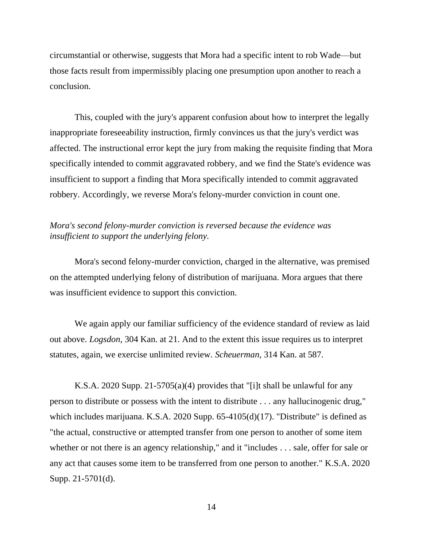circumstantial or otherwise, suggests that Mora had a specific intent to rob Wade—but those facts result from impermissibly placing one presumption upon another to reach a conclusion.

This, coupled with the jury's apparent confusion about how to interpret the legally inappropriate foreseeability instruction, firmly convinces us that the jury's verdict was affected. The instructional error kept the jury from making the requisite finding that Mora specifically intended to commit aggravated robbery, and we find the State's evidence was insufficient to support a finding that Mora specifically intended to commit aggravated robbery. Accordingly, we reverse Mora's felony-murder conviction in count one.

# *Mora's second felony-murder conviction is reversed because the evidence was insufficient to support the underlying felony.*

Mora's second felony-murder conviction, charged in the alternative, was premised on the attempted underlying felony of distribution of marijuana. Mora argues that there was insufficient evidence to support this conviction.

We again apply our familiar sufficiency of the evidence standard of review as laid out above. *Logsdon*, 304 Kan. at 21. And to the extent this issue requires us to interpret statutes, again, we exercise unlimited review. *Scheuerman*, 314 Kan. at 587.

K.S.A. 2020 Supp. 21-5705(a)(4) provides that "[i]t shall be unlawful for any person to distribute or possess with the intent to distribute . . . any hallucinogenic drug," which includes marijuana. K.S.A. 2020 Supp. 65-4105(d)(17). "Distribute" is defined as "the actual, constructive or attempted transfer from one person to another of some item whether or not there is an agency relationship," and it "includes . . . sale, offer for sale or any act that causes some item to be transferred from one person to another." K.S.A. 2020 Supp. 21-5701(d).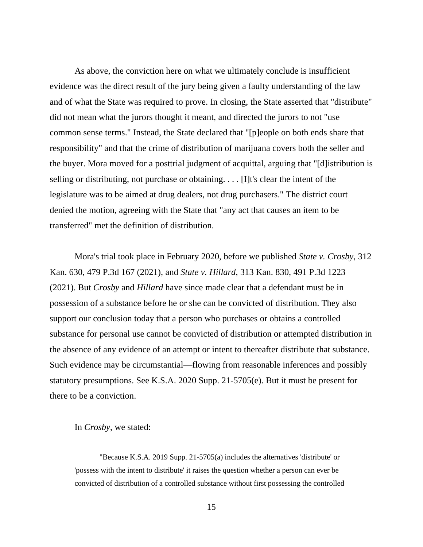As above, the conviction here on what we ultimately conclude is insufficient evidence was the direct result of the jury being given a faulty understanding of the law and of what the State was required to prove. In closing, the State asserted that "distribute" did not mean what the jurors thought it meant, and directed the jurors to not "use common sense terms." Instead, the State declared that "[p]eople on both ends share that responsibility" and that the crime of distribution of marijuana covers both the seller and the buyer. Mora moved for a posttrial judgment of acquittal, arguing that "[d]istribution is selling or distributing, not purchase or obtaining. . . . [I]t's clear the intent of the legislature was to be aimed at drug dealers, not drug purchasers." The district court denied the motion, agreeing with the State that "any act that causes an item to be transferred" met the definition of distribution.

Mora's trial took place in February 2020, before we published *State v. Crosby*, 312 Kan. 630, 479 P.3d 167 (2021), and *State v. Hillard*, 313 Kan. 830, 491 P.3d 1223 (2021). But *Crosby* and *Hillard* have since made clear that a defendant must be in possession of a substance before he or she can be convicted of distribution. They also support our conclusion today that a person who purchases or obtains a controlled substance for personal use cannot be convicted of distribution or attempted distribution in the absence of any evidence of an attempt or intent to thereafter distribute that substance. Such evidence may be circumstantial—flowing from reasonable inferences and possibly statutory presumptions. See K.S.A. 2020 Supp. 21-5705(e). But it must be present for there to be a conviction.

In *Crosby*, we stated:

"Because K.S.A. 2019 Supp. 21-5705(a) includes the alternatives 'distribute' or 'possess with the intent to distribute' it raises the question whether a person can ever be convicted of distribution of a controlled substance without first possessing the controlled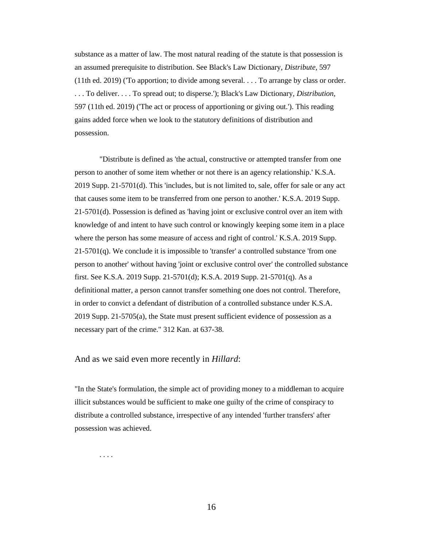substance as a matter of law. The most natural reading of the statute is that possession is an assumed prerequisite to distribution. See Black's Law Dictionary, *Distribute*, 597 (11th ed. 2019) ('To apportion; to divide among several. . . . To arrange by class or order. . . . To deliver. . . . To spread out; to disperse.'); Black's Law Dictionary, *Distribution*, 597 (11th ed. 2019) ('The act or process of apportioning or giving out.'). This reading gains added force when we look to the statutory definitions of distribution and possession.

"Distribute is defined as 'the actual, constructive or attempted transfer from one person to another of some item whether or not there is an agency relationship.' K.S.A. 2019 Supp. 21-5701(d). This 'includes, but is not limited to, sale, offer for sale or any act that causes some item to be transferred from one person to another.' K.S.A. 2019 Supp. 21-5701(d). Possession is defined as 'having joint or exclusive control over an item with knowledge of and intent to have such control or knowingly keeping some item in a place where the person has some measure of access and right of control.' K.S.A. 2019 Supp. 21-5701(q). We conclude it is impossible to 'transfer' a controlled substance 'from one person to another' without having 'joint or exclusive control over' the controlled substance first. See K.S.A. 2019 Supp. 21-5701(d); K.S.A. 2019 Supp. 21-5701(q). As a definitional matter, a person cannot transfer something one does not control. Therefore, in order to convict a defendant of distribution of a controlled substance under K.S.A. 2019 Supp. 21-5705(a), the State must present sufficient evidence of possession as a necessary part of the crime." 312 Kan. at 637-38.

#### And as we said even more recently in *Hillard*:

"In the State's formulation, the simple act of providing money to a middleman to acquire illicit substances would be sufficient to make one guilty of the crime of conspiracy to distribute a controlled substance, irrespective of any intended 'further transfers' after possession was achieved.

. . . .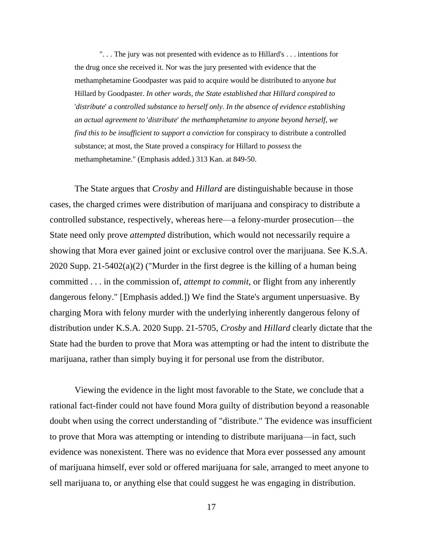". . . The jury was not presented with evidence as to Hillard's . . . intentions for the drug once she received it. Nor was the jury presented with evidence that the methamphetamine Goodpaster was paid to acquire would be distributed to anyone *but* Hillard by Goodpaster. *In other words, the State established that Hillard conspired to*  '*distribute*' *a controlled substance to herself only. In the absence of evidence establishing an actual agreement to* '*distribute*' *the methamphetamine to anyone beyond herself, we find this to be insufficient to support a conviction* for conspiracy to distribute a controlled substance; at most, the State proved a conspiracy for Hillard to *possess* the methamphetamine." (Emphasis added.) 313 Kan. at 849-50.

The State argues that *Crosby* and *Hillard* are distinguishable because in those cases, the charged crimes were distribution of marijuana and conspiracy to distribute a controlled substance, respectively, whereas here—a felony-murder prosecution—the State need only prove *attempted* distribution, which would not necessarily require a showing that Mora ever gained joint or exclusive control over the marijuana. See K.S.A. 2020 Supp. 21-5402(a)(2) ("Murder in the first degree is the killing of a human being committed . . . in the commission of, *attempt to commit*, or flight from any inherently dangerous felony." [Emphasis added.]) We find the State's argument unpersuasive. By charging Mora with felony murder with the underlying inherently dangerous felony of distribution under K.S.A. 2020 Supp. 21-5705, *Crosby* and *Hillard* clearly dictate that the State had the burden to prove that Mora was attempting or had the intent to distribute the marijuana, rather than simply buying it for personal use from the distributor.

Viewing the evidence in the light most favorable to the State, we conclude that a rational fact-finder could not have found Mora guilty of distribution beyond a reasonable doubt when using the correct understanding of "distribute." The evidence was insufficient to prove that Mora was attempting or intending to distribute marijuana—in fact, such evidence was nonexistent. There was no evidence that Mora ever possessed any amount of marijuana himself, ever sold or offered marijuana for sale, arranged to meet anyone to sell marijuana to, or anything else that could suggest he was engaging in distribution.